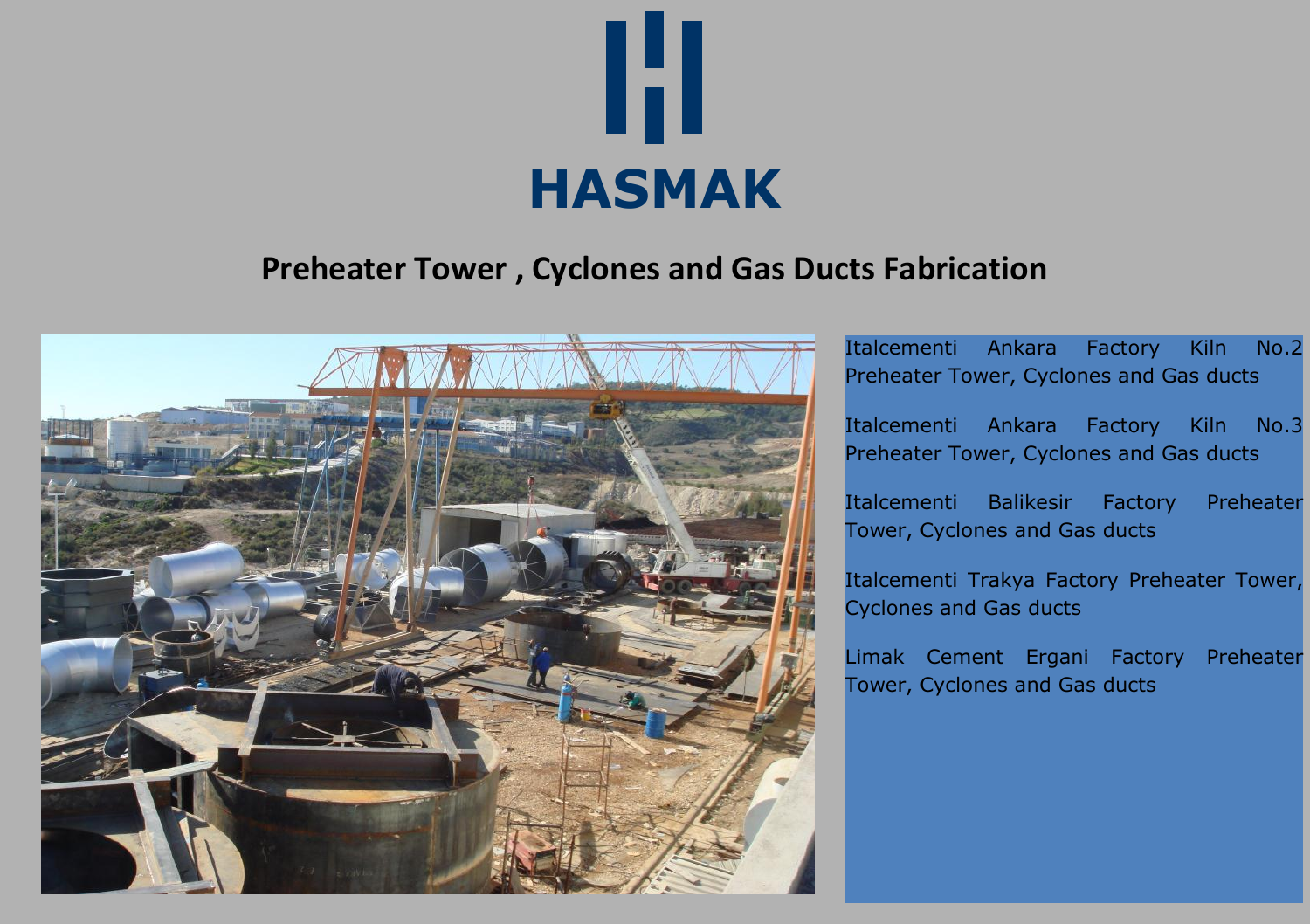

# **Preheater Tower , Cyclones and Gas Ducts Fabrication**



Italcementi Ankara Factory Kiln No.2 Preheater Tower, Cyclones and Gas ducts

Italcementi Ankara Factory Kiln No.3 Preheater Tower, Cyclones and Gas ducts

Italcementi Balikesir Factory Preheater Tower, Cyclones and Gas ducts

Italcementi Trakya Factory Preheater Tower, Cyclones and Gas ducts

Limak Cement Ergani Factory Preheater Tower, Cyclones and Gas ducts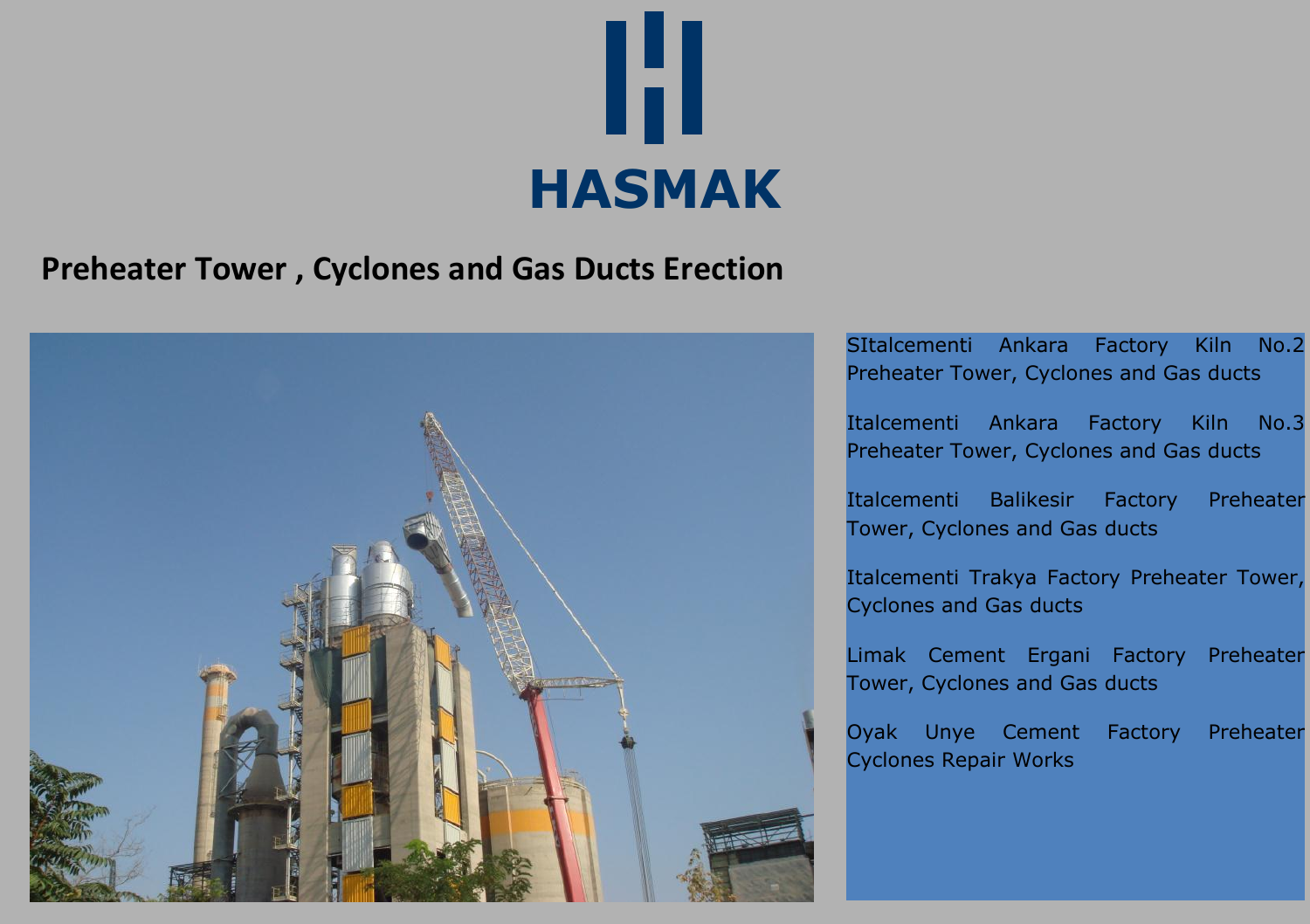

### **Preheater Tower , Cyclones and Gas Ducts Erection**



SItalcementi Ankara Factory Kiln No.2 Preheater Tower, Cyclones and Gas ducts

Italcementi Ankara Factory Kiln No.3 Preheater Tower, Cyclones and Gas ducts

Italcementi Balikesir Factory Preheater Tower, Cyclones and Gas ducts

Italcementi Trakya Factory Preheater Tower, Cyclones and Gas ducts

Limak Cement Ergani Factory Preheater Tower, Cyclones and Gas ducts

Oyak Unye Cement Factory Preheater Cyclones Repair Works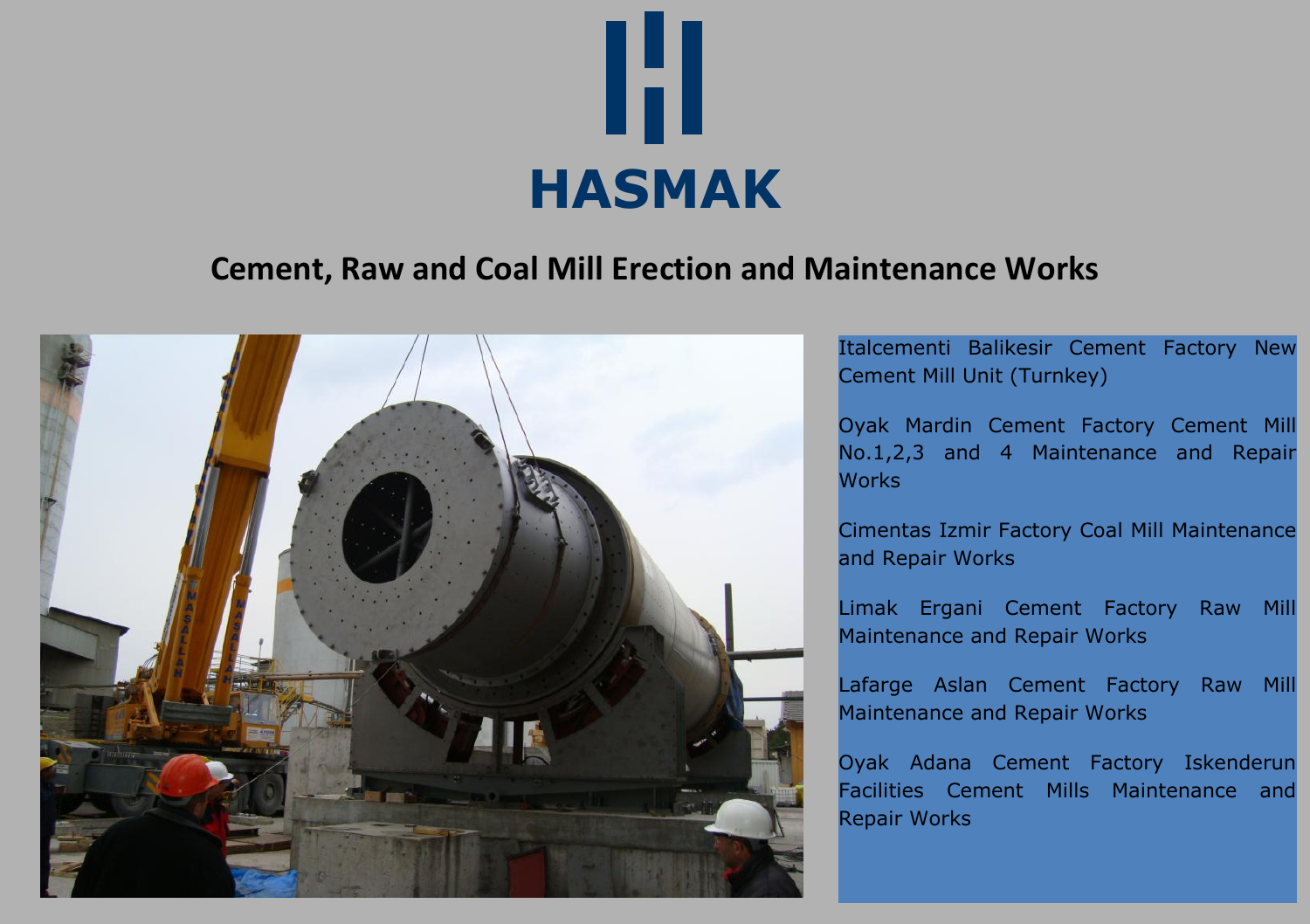

#### **Cement, Raw and Coal Mill Erection and Maintenance Works**



Italcementi Balikesir Cement Factory New Cement Mill Unit (Turnkey)

Oyak Mardin Cement Factory Cement Mill No.1,2,3 and 4 Maintenance and Repair **Works** 

Cimentas Izmir Factory Coal Mill Maintenance and Repair Works

Limak Ergani Cement Factory Raw Mill Maintenance and Repair Works

Lafarge Aslan Cement Factory Raw Mill Maintenance and Repair Works

Oyak Adana Cement Factory Iskenderun Facilities Cement Mills Maintenance and Repair Works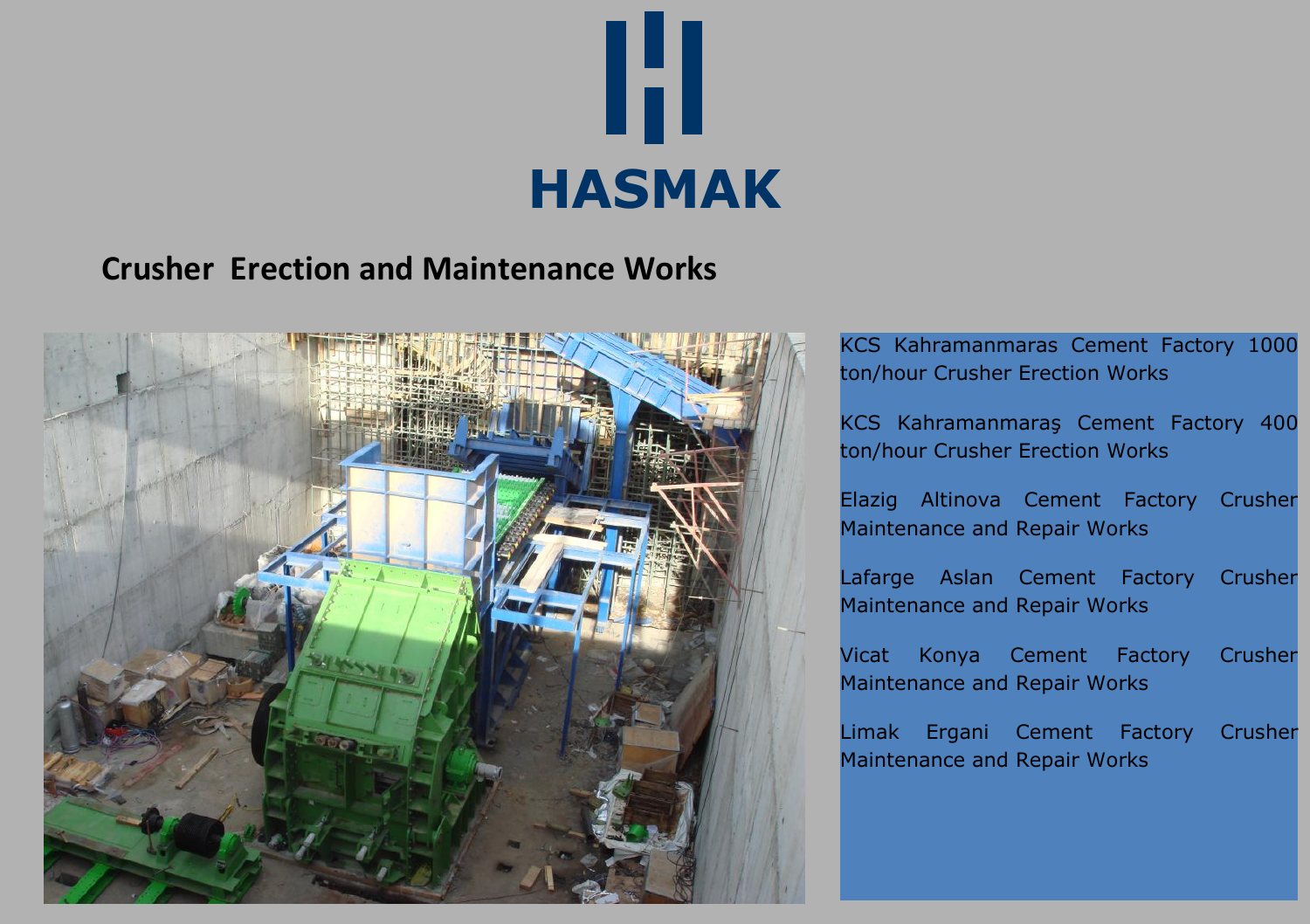

#### **Crusher Erection and Maintenance Works**



KCS Kahramanmaras Cement Factory 1000 ton/hour Crusher Erection Works

KCS Kahramanmaraş Cement Factory 400 ton/hour Crusher Erection Works

Elazig Altinova Cement Factory Crusher Maintenance and Repair Works

Lafarge Aslan Cement Factory Crusher Maintenance and Repair Works

Vicat Konya Cement Factory Crusher Maintenance and Repair Works

Limak Ergani Cement Factory Crusher Maintenance and Repair Works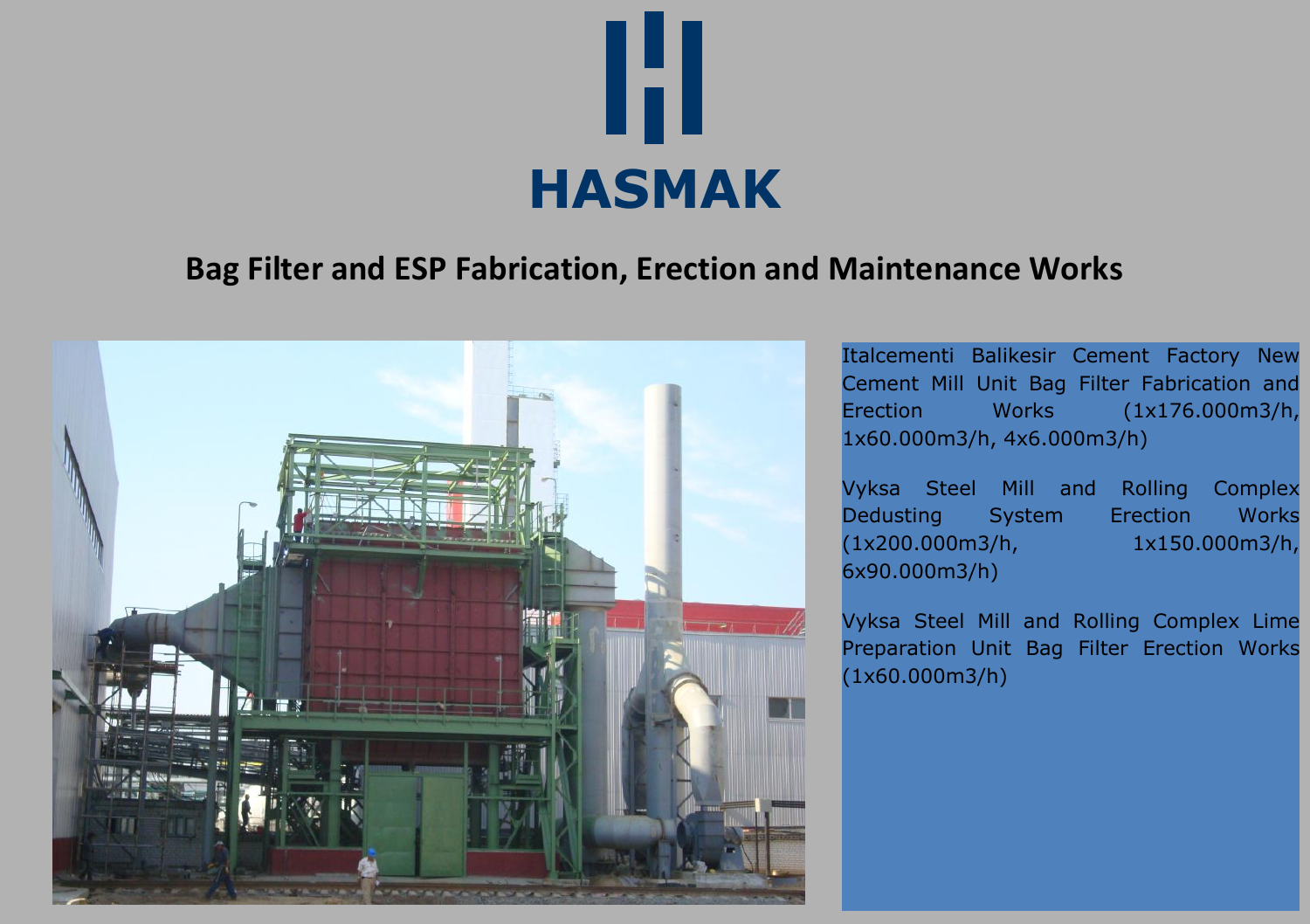

### **Bag Filter and ESP Fabrication, Erection and Maintenance Works**



Italcementi Balikesir Cement Factory New Cement Mill Unit Bag Filter Fabrication and Erection Works (1x176.000m3/h, 1x60.000m3/h, 4x6.000m3/h)

Vyksa Steel Mill and Rolling Complex Dedusting System Erection Works (1x200.000m3/h, 1x150.000m3/h, 6x90.000m3/h)

Vyksa Steel Mill and Rolling Complex Lime Preparation Unit Bag Filter Erection Works (1x60.000m3/h)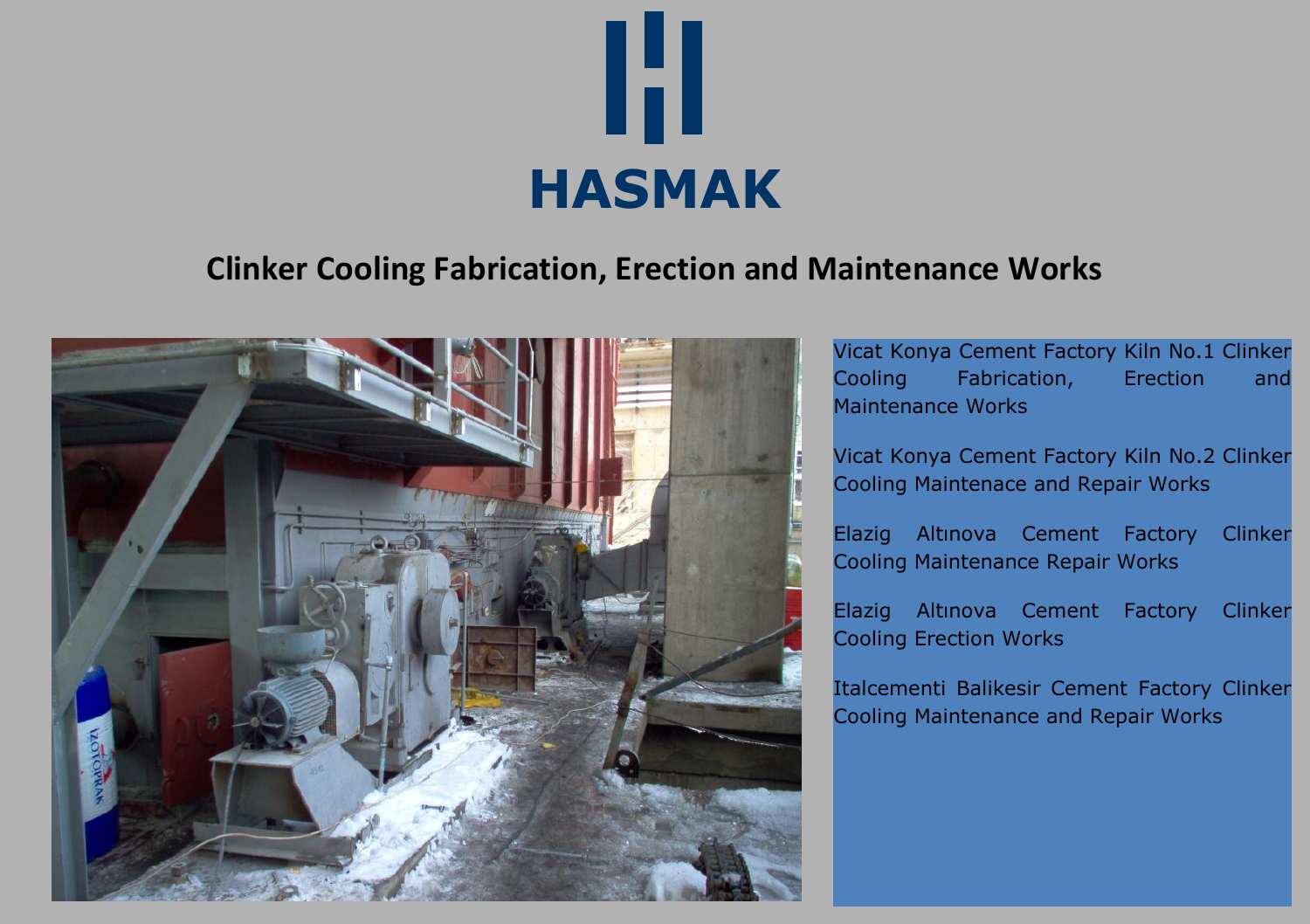

# **Clinker Cooling Fabrication, Erection and Maintenance Works**



Vicat Konya Cement Factory Kiln No.1 Clinker Cooling Fabrication, Erection and Maintenance Works

Vicat Konya Cement Factory Kiln No.2 Clinker Cooling Maintenace and Repair Works

Elazig Altınova Cement Factory Clinker Cooling Maintenance Repair Works

Elazig Altınova Cement Factory Clinker Cooling Erection Works

Italcementi Balikesir Cement Factory Clinker Cooling Maintenance and Repair Works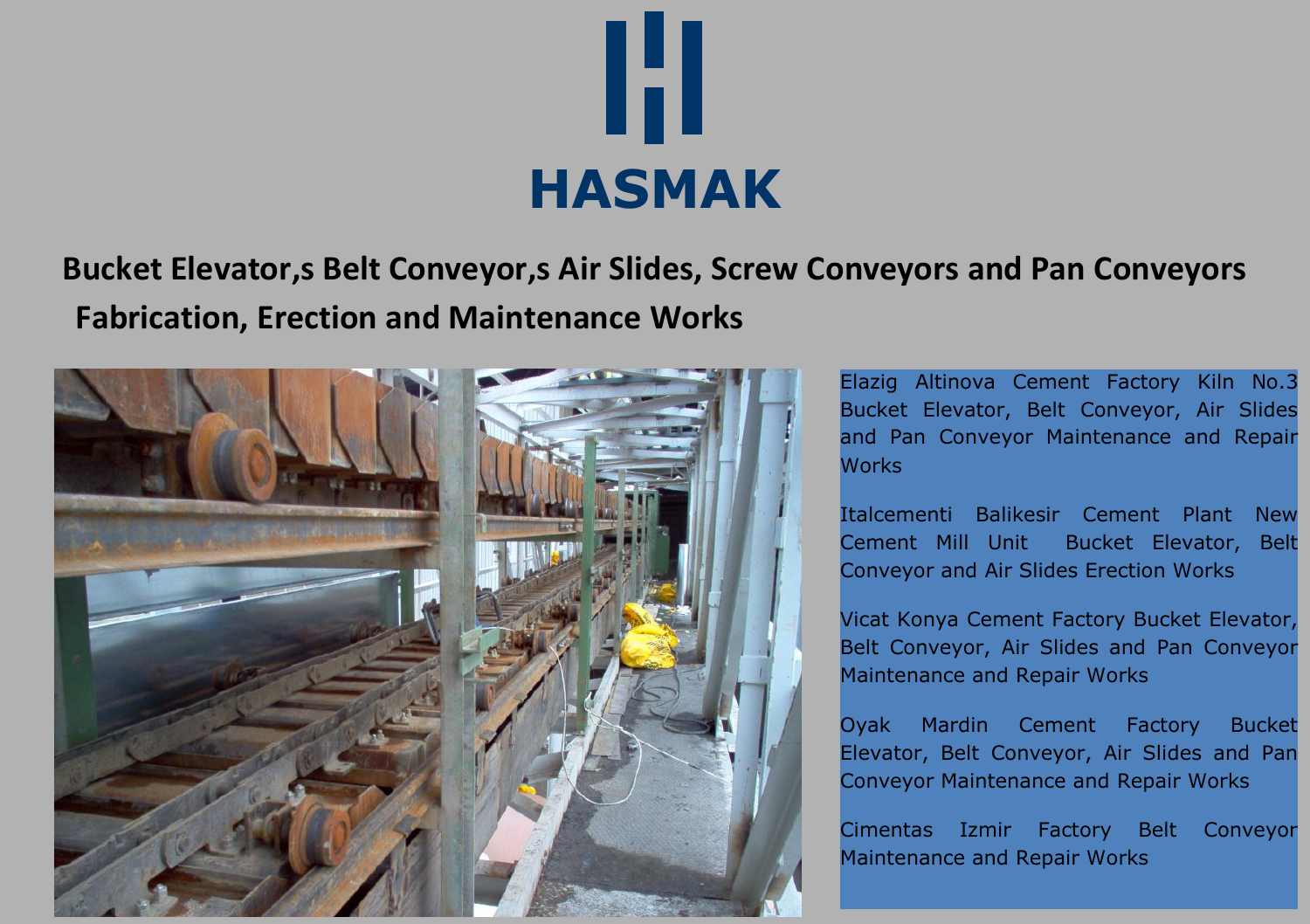

# **Bucket Elevator,s Belt Conveyor,s Air Slides, Screw Conveyors and Pan Conveyors Fabrication, Erection and Maintenance Works**



Elazig Altinova Cement Factory Kiln No.3 Bucket Elevator, Belt Conveyor, Air Slides and Pan Conveyor Maintenance and Repair **Works** 

Italcementi Balikesir Cement Plant New Cement Mill Unit Bucket Elevator, Belt Conveyor and Air Slides Erection Works

Vicat Konya Cement Factory Bucket Elevator, Belt Conveyor, Air Slides and Pan Conveyor Maintenance and Repair Works

Oyak Mardin Cement Factory Bucket Elevator, Belt Conveyor, Air Slides and Pan Conveyor Maintenance and Repair Works

Cimentas Izmir Factory Belt Conveyor Maintenance and Repair Works